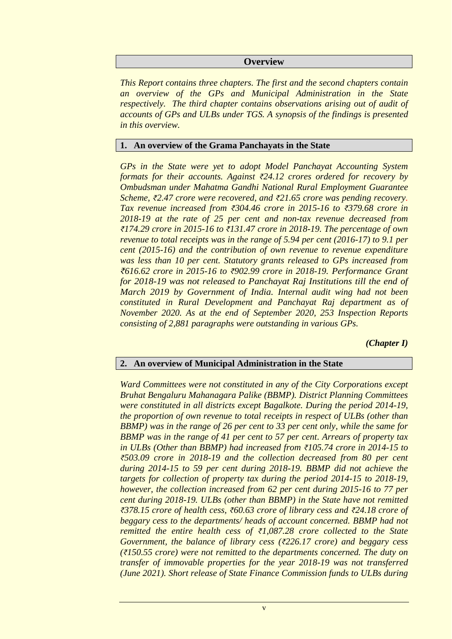## **Overview**

*This Report contains three chapters. The first and the second chapters contain an overview of the GPs and Municipal Administration in the State respectively. The third chapter contains observations arising out of audit of accounts of GPs and ULBs under TGS. A synopsis of the findings is presented in this overview.*

## **1. An overview of the Grama Panchayats in the State**

*GPs in the State were yet to adopt Model Panchayat Accounting System formats for their accounts. Against ₹24.12 crores ordered for recovery by Ombudsman under Mahatma Gandhi National Rural Employment Guarantee Scheme, ₹2.47 crore were recovered, and ₹21.65 crore was pending recovery. Tax revenue increased from ₹304.46 crore in 2015-16 to ₹379.68 crore in 2018-19 at the rate of 25 per cent and non-tax revenue decreased from ₹174.29 crore in 2015-16 to ₹131.47 crore in 2018-19. The percentage of own revenue to total receipts was in the range of 5.94 per cent (2016-17) to 9.1 per cent (2015-16) and the contribution of own revenue to revenue expenditure was less than 10 per cent. Statutory grants released to GPs increased from ₹616.62 crore in 2015-16 to ₹902.99 crore in 2018-19. Performance Grant for 2018-19 was not released to Panchayat Raj Institutions till the end of March 2019 by Government of India. Internal audit wing had not been constituted in Rural Development and Panchayat Raj department as of November 2020. As at the end of September 2020, 253 Inspection Reports consisting of 2,881 paragraphs were outstanding in various GPs.* 

*(Chapter I)*

## **2. An overview of Municipal Administration in the State**

*Ward Committees were not constituted in any of the City Corporations except Bruhat Bengaluru Mahanagara Palike (BBMP). District Planning Committees were constituted in all districts except Bagalkote. During the period 2014-19, the proportion of own revenue to total receipts in respect of ULBs (other than BBMP) was in the range of 26 per cent to 33 per cent only, while the same for BBMP was in the range of 41 per cent to 57 per cent. Arrears of property tax in ULBs (Other than BBMP) had increased from ₹105.74 crore in 2014-15 to ₹503.09 crore in 2018-19 and the collection decreased from 80 per cent during 2014-15 to 59 per cent during 2018-19. BBMP did not achieve the targets for collection of property tax during the period 2014-15 to 2018-19, however, the collection increased from 62 per cent during 2015-16 to 77 per cent during 2018-19. ULBs (other than BBMP) in the State have not remitted ₹378.15 crore of health cess, ₹60.63 crore of library cess and ₹24.18 crore of beggary cess to the departments/ heads of account concerned. BBMP had not remitted the entire health cess of ₹1,087.28 crore collected to the State Government, the balance of library cess (₹226.17 crore) and beggary cess (₹150.55 crore) were not remitted to the departments concerned. The duty on transfer of immovable properties for the year 2018-19 was not transferred (June 2021). Short release of State Finance Commission funds to ULBs during*